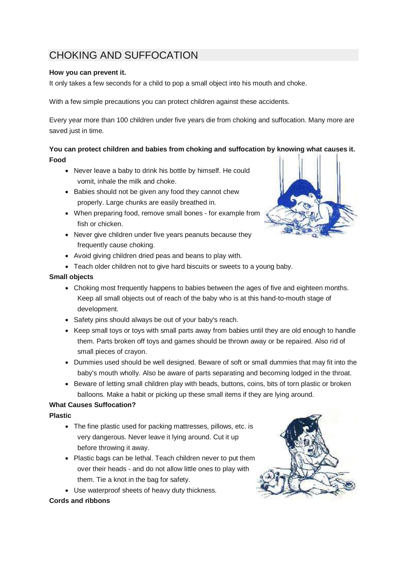# CHOKING AND SUFFOCATION

## **How you can prevent it.**

It only takes a few seconds for a child to pop a small object into his mouth and choke.

With a few simple precautions you can protect children against these accidents.

Every year more than 100 children under five years die from choking and suffocation. Many more are saved just in time.

# **You can protect children and babies from choking and suffocation by knowing what causes it. Food**

- Never leave a baby to drink his bottle by himself. He could vomit, inhale the milk and choke.
- Babies should not be given any food they cannot chew properly. Large chunks are easily breathed in.
- When preparing food, remove small bones for example from fish or chicken.
- Never give children under five years peanuts because they frequently cause choking.
- Avoid giving children dried peas and beans to play with.
- Teach older children not to give hard biscuits or sweets to a young baby.

## **Small objects**

- Choking most frequently happens to babies between the ages of five and eighteen months. Keep all small objects out of reach of the baby who is at this hand-to-mouth stage of development.
- Safety pins should always be out of your baby's reach.
- Keep small toys or toys with small parts away from babies until they are old enough to handle them. Parts broken off toys and games should be thrown away or be repaired. Also rid of small pieces of crayon.
- Dummies used should be well designed. Beware of soft or small dummies that may fit into the baby's mouth wholly. Also be aware of parts separating and becoming lodged in the throat.
- Beware of letting small children play with beads, buttons, coins, bits of torn plastic or broken balloons. Make a habit or picking up these small items if they are lying around.

# **What Causes Suffocation?**

#### **Plastic**

- The fine plastic used for packing mattresses, pillows, etc. is very dangerous. Never leave it lying around. Cut it up before throwing it away.
- Plastic bags can be lethal. Teach children never to put them over their heads - and do not allow little ones to play with them. Tie a knot in the bag for safety.
- Use waterproof sheets of heavy duty thickness.

#### **Cords and ribbons**